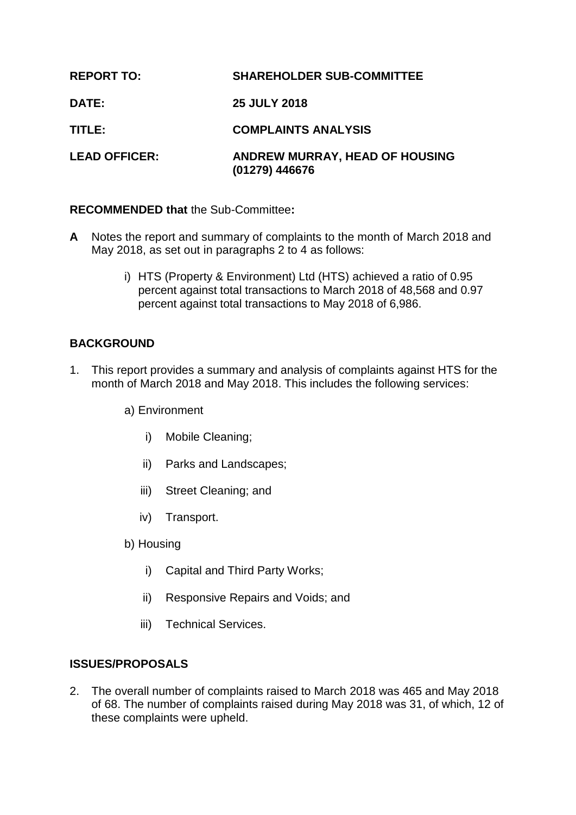| <b>REPORT TO:</b>    | <b>SHAREHOLDER SUB-COMMITTEE</b>                 |
|----------------------|--------------------------------------------------|
| DATE:                | <b>25 JULY 2018</b>                              |
| TITLE:               | <b>COMPLAINTS ANALYSIS</b>                       |
| <b>LEAD OFFICER:</b> | ANDREW MURRAY, HEAD OF HOUSING<br>(01279) 446676 |

## **RECOMMENDED that** the Sub-Committee**:**

- **A** Notes the report and summary of complaints to the month of March 2018 and May 2018, as set out in paragraphs 2 to 4 as follows:
	- i) HTS (Property & Environment) Ltd (HTS) achieved a ratio of 0.95 percent against total transactions to March 2018 of 48,568 and 0.97 percent against total transactions to May 2018 of 6,986.

# **BACKGROUND**

1. This report provides a summary and analysis of complaints against HTS for the month of March 2018 and May 2018. This includes the following services:

a) Environment

- i) Mobile Cleaning;
- ii) Parks and Landscapes;
- iii) Street Cleaning; and
- iv) Transport.
- b) Housing
	- i) Capital and Third Party Works;
	- ii) Responsive Repairs and Voids; and
	- iii) Technical Services.

## **ISSUES/PROPOSALS**

2. The overall number of complaints raised to March 2018 was 465 and May 2018 of 68. The number of complaints raised during May 2018 was 31, of which, 12 of these complaints were upheld.